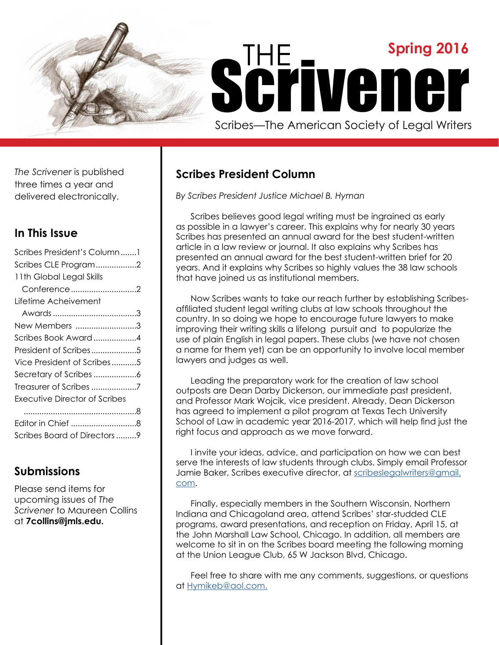

*The Scrivener* is published three times a year and delivered electronically.

### **In This Issue**

| Scribes President's Column1   |
|-------------------------------|
| Scribes CLE Program2          |
| 11th Global Legal Skills      |
| Conference 2                  |
| Lifetime Acheivement          |
|                               |
| New Members 3                 |
| Scribes Book Award 4          |
| President of Scribes5         |
| Vice President of Scribes5    |
|                               |
| Treasurer of Scribes 7        |
| Executive Director of Scribes |
|                               |
| Editor in Chief 8             |
| Scribes Board of Directors 9  |
|                               |

## **Submissions**

Please send items for upcoming issues of *The Scrivener* to Maureen Collins at **7collins@jmls.edu.**

# **Scribes President Column**

*By Scribes President Justice Michael B. Hyman*

Scribes believes good legal writing must be ingrained as early as possible in a lawyer's career. This explains why for nearly 30 years Scribes has presented an annual award for the best student-written article in a law review or journal. It also explains why Scribes has presented an annual award for the best student-written brief for 20 years. And it explains why Scribes so highly values the 38 law schools that have joined us as institutional members.

Now Scribes wants to take our reach further by establishing Scribesaffiliated student legal writing clubs at law schools throughout the country. In so doing we hope to encourage future lawyers to make improving their writing skills a lifelong pursuit and to popularize the use of plain English in legal papers. These clubs (we have not chosen a name for them yet) can be an opportunity to involve local member lawyers and judges as well.

Leading the preparatory work for the creation of law school outposts are Dean Darby Dickerson, our immediate past president, and Professor Mark Wojcik, vice president. Already, Dean Dickerson has agreed to implement a pilot program at Texas Tech University School of Law in academic year 2016-2017, which will help find just the right focus and approach as we move forward.

I invite your ideas, advice, and participation on how we can best serve the interests of law students through clubs. Simply email Professor Jamie Baker, Scribes executive director, at [scribeslegalwriters@gmail.](mailto:scribeslegalwriters%40gmail.com?subject=) [com.](mailto:scribeslegalwriters%40gmail.com?subject=)

Finally, especially members in the Southern Wisconsin, Northern Indiana and Chicagoland area, attend Scribes' star-studded CLE programs, award presentations, and reception on Friday, April 15, at the John Marshall Law School, Chicago. In addition, all members are welcome to sit in on the Scribes board meeting the following morning at the Union League Club, 65 W Jackson Blvd, Chicago.

Feel free to share with me any comments, suggestions, or questions at [Hymikeb@aol.com.](mailto:Hymikeb%40aol.com?subject=)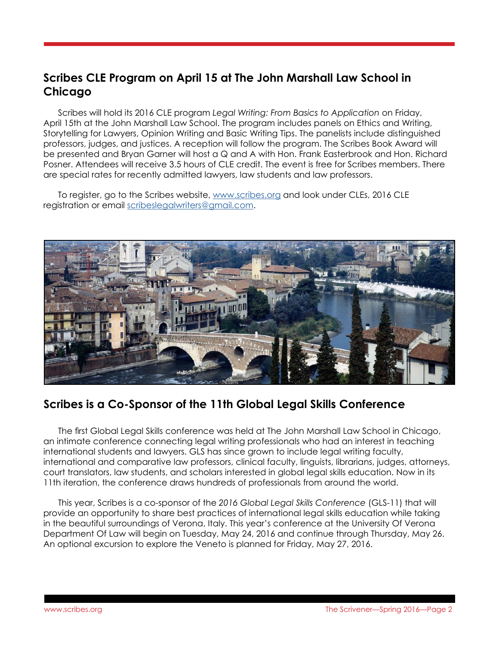# **Scribes CLE Program on April 15 at The John Marshall Law School in Chicago**

Scribes will hold its 2016 CLE program *Legal Writing: From Basics to Application* on Friday, April 15th at the John Marshall Law School. The program includes panels on Ethics and Writing, Storytelling for Lawyers, Opinion Writing and Basic Writing Tips. The panelists include distinguished professors, judges, and justices. A reception will follow the program. The Scribes Book Award will be presented and Bryan Garner will host a Q and A with Hon. Frank Easterbrook and Hon. Richard Posner. Attendees will receive 3.5 hours of CLE credit. The event is free for Scribes members. There are special rates for recently admitted lawyers, law students and law professors.

To register, go to the Scribes website, [www.scribes.org](http://www.scribes.org) and look under CLEs, 2016 CLE registration or email [scribeslegalwriters@gmail.com](mailto:scribeslegalwriters%40gmail.com?subject=).



### **Scribes is a Co-Sponsor of the 11th Global Legal Skills Conference**

The first Global Legal Skills conference was held at The John Marshall Law School in Chicago, an intimate conference connecting legal writing professionals who had an interest in teaching international students and lawyers. GLS has since grown to include legal writing faculty, international and comparative law professors, clinical faculty, linguists, librarians, judges, attorneys, court translators, law students, and scholars interested in global legal skills education. Now in its 11th iteration, the conference draws hundreds of professionals from around the world.

This year, Scribes is a co-sponsor of the *2016 Global Legal Skills Conference* (GLS-11) that will provide an opportunity to share best practices of international legal skills education while taking in the beautiful surroundings of Verona, Italy. This year's conference at the University Of Verona Department Of Law will begin on Tuesday, May 24, 2016 and continue through Thursday, May 26. An optional excursion to explore the Veneto is planned for Friday, May 27, 2016.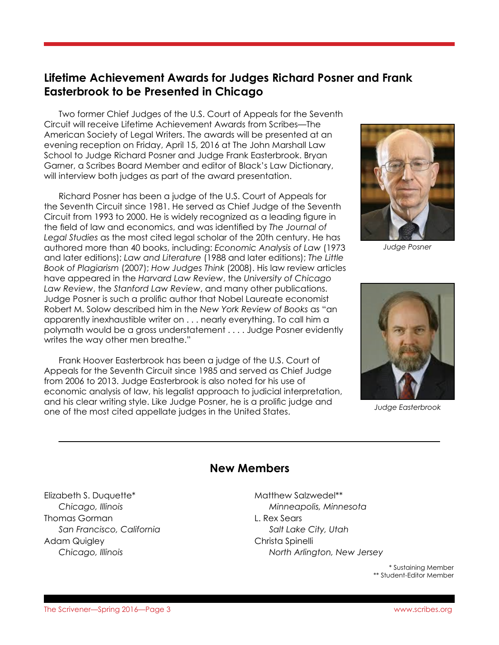## **Lifetime Achievement Awards for Judges Richard Posner and Frank Easterbrook to be Presented in Chicago**

Two former Chief Judges of the U.S. Court of Appeals for the Seventh Circuit will receive Lifetime Achievement Awards from Scribes—The American Society of Legal Writers. The awards will be presented at an evening reception on Friday, April 15, 2016 at The John Marshall Law School to Judge Richard Posner and Judge Frank Easterbrook. Bryan Garner, a Scribes Board Member and editor of Black's Law Dictionary, will interview both judges as part of the award presentation.

Richard Posner has been a judge of the U.S. Court of Appeals for the Seventh Circuit since 1981. He served as Chief Judge of the Seventh Circuit from 1993 to 2000. He is widely recognized as a leading figure in the field of law and economics, and was identified by *The Journal of Legal Studies* as the most cited legal scholar of the 20th century. He has authored more than 40 books, including: *Economic Analysis of Law* (1973 and later editions); *Law and Literature* (1988 and later editions); *The Little Book of Plagiarism* (2007); *How Judges Think* (2008). His law review articles have appeared in the *Harvard Law Review*, the *University of Chicago Law Review*, the *Stanford Law Review*, and many other publications. Judge Posner is such a prolific author that Nobel Laureate economist Robert M. Solow described him in the *New York Review of Books* as "an apparently inexhaustible writer on . . . nearly everything. To call him a polymath would be a gross understatement . . . . Judge Posner evidently writes the way other men breathe."

Frank Hoover Easterbrook has been a judge of the U.S. Court of Appeals for the Seventh Circuit since 1985 and served as Chief Judge from 2006 to 2013. Judge Easterbrook is also noted for his use of economic analysis of law, his legalist approach to judicial interpretation, and his clear writing style. Like Judge Posner, he is a prolific judge and one of the most cited appellate judges in the United States.



*Judge Posner*



*Judge Easterbrook*

#### **New Members**

Elizabeth S. Duquette\* *Chicago, Illinois* Thomas Gorman *San Francisco, California* Adam Quigley *Chicago, Illinois*

Matthew Salzwedel\*\* *Minneapolis, Minnesota* L. Rex Sears *Salt Lake City, Utah* Christa Spinelli *North Arlington, New Jersey*

> \* Sustaining Member \*\* Student-Editor Member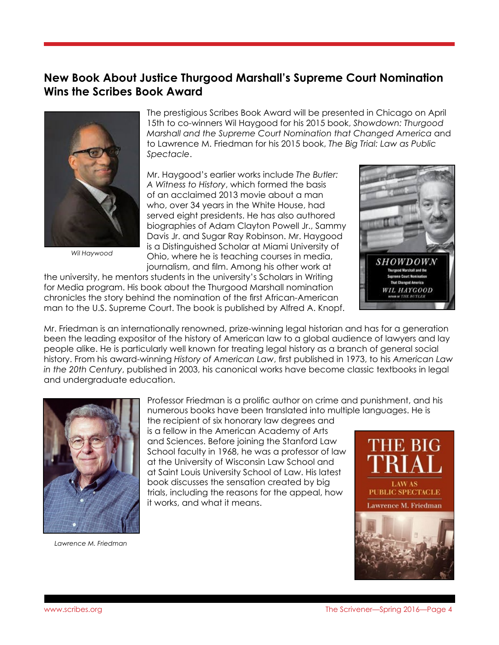## **New Book About Justice Thurgood Marshall's Supreme Court Nomination Wins the Scribes Book Award**



*Wil Haywood*

The prestigious Scribes Book Award will be presented in Chicago on April 15th to co-winners Wil Haygood for his 2015 book, *Showdown: Thurgood Marshall and the Supreme Court Nomination that Changed America* and to Lawrence M. Friedman for his 2015 book, *The Big Trial: Law as Public Spectacle*.

Mr. Haygood's earlier works include *The Butler: A Witness to History*, which formed the basis of an acclaimed 2013 movie about a man who, over 34 years in the White House, had served eight presidents. He has also authored biographies of Adam Clayton Powell Jr., Sammy Davis Jr. and Sugar Ray Robinson. Mr. Haygood is a Distinguished Scholar at Miami University of Ohio, where he is teaching courses in media, journalism, and film. Among his other work at

the university, he mentors students in the university's Scholars in Writing for Media program. His book about the Thurgood Marshall nomination chronicles the story behind the nomination of the first African-American man to the U.S. Supreme Court. The book is published by Alfred A. Knopf.



Mr. Friedman is an internationally renowned, prize-winning legal historian and has for a generation been the leading expositor of the history of American law to a global audience of lawyers and lay people alike. He is particularly well known for treating legal history as a branch of general social history. From his award-winning *History of American Law*, first published in 1973, to his *American Law in the 20th Century*, published in 2003, his canonical works have become classic textbooks in legal and undergraduate education.



*Lawrence M. Friedman*

Professor Friedman is a prolific author on crime and punishment, and his numerous books have been translated into multiple languages. He is

the recipient of six honorary law degrees and is a fellow in the American Academy of Arts and Sciences. Before joining the Stanford Law School faculty in 1968, he was a professor of law at the University of Wisconsin Law School and at Saint Louis University School of Law. His latest book discusses the sensation created by big trials, including the reasons for the appeal, how it works, and what it means.

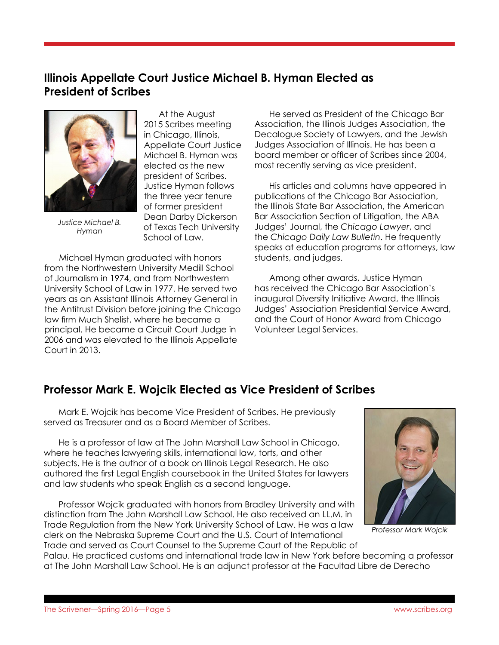## **Illinois Appellate Court Justice Michael B. Hyman Elected as President of Scribes**



*Justice Michael B. Hyman*

 At the August 2015 Scribes meeting in Chicago, Illinois, Appellate Court Justice Michael B. Hyman was elected as the new president of Scribes. Justice Hyman follows the three year tenure of former president Dean Darby Dickerson of Texas Tech University School of Law.

Michael Hyman graduated with honors from the Northwestern University Medill School of Journalism in 1974, and from Northwestern University School of Law in 1977. He served two years as an Assistant Illinois Attorney General in the Antitrust Division before joining the Chicago law firm Much Shelist, where he became a principal. He became a Circuit Court Judge in 2006 and was elevated to the Illinois Appellate Court in 2013.

He served as President of the Chicago Bar Association, the Illinois Judges Association, the Decalogue Society of Lawyers, and the Jewish Judges Association of Illinois. He has been a board member or officer of Scribes since 2004, most recently serving as vice president.

His articles and columns have appeared in publications of the Chicago Bar Association, the Illinois State Bar Association, the American Bar Association Section of Litigation, the ABA Judges' Journal, the *Chicago Lawyer*, and the *Chicago Daily Law Bulletin*. He frequently speaks at education programs for attorneys, law students, and judges.

Among other awards, Justice Hyman has received the Chicago Bar Association's inaugural Diversity Initiative Award, the Illinois Judges' Association Presidential Service Award, and the Court of Honor Award from Chicago Volunteer Legal Services.

### **Professor Mark E. Wojcik Elected as Vice President of Scribes**

Mark E. Wojcik has become Vice President of Scribes. He previously served as Treasurer and as a Board Member of Scribes.

He is a professor of law at The John Marshall Law School in Chicago, where he teaches lawyering skills, international law, torts, and other subjects. He is the author of a book on Illinois Legal Research. He also authored the first Legal English coursebook in the United States for lawyers and law students who speak English as a second language.

Professor Wojcik graduated with honors from Bradley University and with distinction from The John Marshall Law School. He also received an LL.M. in Trade Regulation from the New York University School of Law. He was a law clerk on the Nebraska Supreme Court and the U.S. Court of International Trade and served as Court Counsel to the Supreme Court of the Republic of



*Professor Mark Wojcik*

Palau. He practiced customs and international trade law in New York before becoming a professor at The John Marshall Law School. He is an adjunct professor at the Facultad Libre de Derecho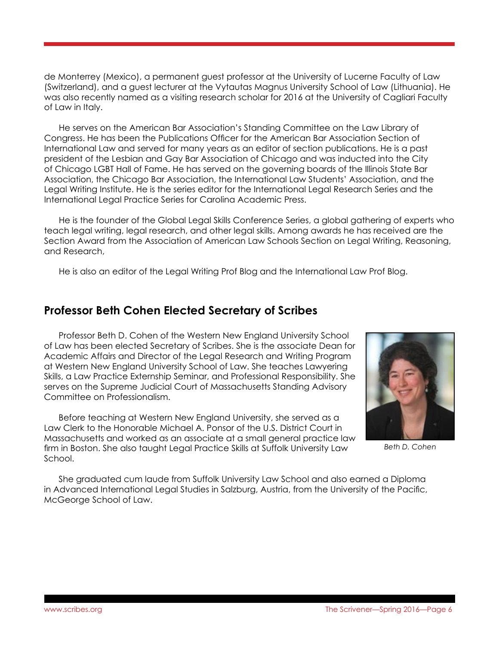de Monterrey (Mexico), a permanent guest professor at the University of Lucerne Faculty of Law (Switzerland), and a guest lecturer at the Vytautas Magnus University School of Law (Lithuania). He was also recently named as a visiting research scholar for 2016 at the University of Cagliari Faculty of Law in Italy.

He serves on the American Bar Association's Standing Committee on the Law Library of Congress. He has been the Publications Officer for the American Bar Association Section of International Law and served for many years as an editor of section publications. He is a past president of the Lesbian and Gay Bar Association of Chicago and was inducted into the City of Chicago LGBT Hall of Fame. He has served on the governing boards of the Illinois State Bar Association, the Chicago Bar Association, the International Law Students' Association, and the Legal Writing Institute. He is the series editor for the International Legal Research Series and the International Legal Practice Series for Carolina Academic Press.

He is the founder of the Global Legal Skills Conference Series, a global gathering of experts who teach legal writing, legal research, and other legal skills. Among awards he has received are the Section Award from the Association of American Law Schools Section on Legal Writing, Reasoning, and Research,

He is also an editor of the Legal Writing Prof Blog and the International Law Prof Blog.

#### **Professor Beth Cohen Elected Secretary of Scribes**

Professor Beth D. Cohen of the Western New England University School of Law has been elected Secretary of Scribes. She is the associate Dean for Academic Affairs and Director of the Legal Research and Writing Program at Western New England University School of Law. She teaches Lawyering Skills, a Law Practice Externship Seminar, and Professional Responsibility. She serves on the Supreme Judicial Court of Massachusetts Standing Advisory Committee on Professionalism.

Before teaching at Western New England University, she served as a Law Clerk to the Honorable Michael A. Ponsor of the U.S. District Court in Massachusetts and worked as an associate at a small general practice law firm in Boston. She also taught Legal Practice Skills at Suffolk University Law School.



*Beth D. Cohen*

She graduated cum laude from Suffolk University Law School and also earned a Diploma in Advanced International Legal Studies in Salzburg, Austria, from the University of the Pacific, McGeorge School of Law.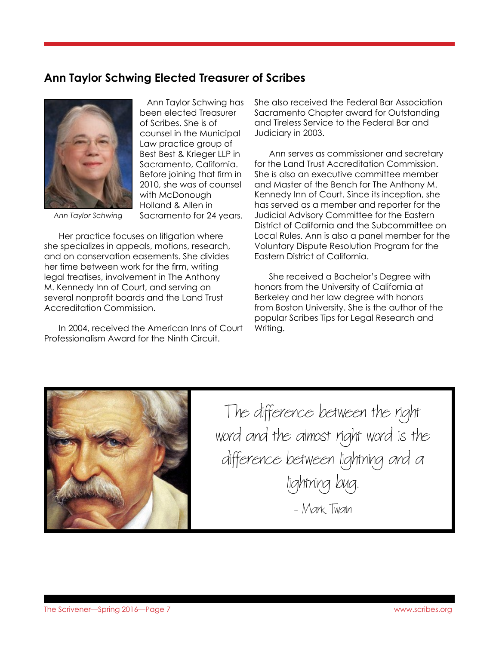## **Ann Taylor Schwing Elected Treasurer of Scribes**



Ann Taylor Schwing has been elected Treasurer of Scribes. She is of counsel in the Municipal Law practice group of Best Best & Krieger LLP in Sacramento, California. Before joining that firm in 2010, she was of counsel with McDonough Holland & Allen in Sacramento for 24 years.

*Ann Taylor Schwing*

Her practice focuses on litigation where she specializes in appeals, motions, research, and on conservation easements. She divides her time between work for the firm, writing legal treatises, involvement in The Anthony M. Kennedy Inn of Court, and serving on several nonprofit boards and the Land Trust Accreditation Commission.

In 2004, received the American Inns of Court Professionalism Award for the Ninth Circuit.

She also received the Federal Bar Association Sacramento Chapter award for Outstanding and Tireless Service to the Federal Bar and Judiciary in 2003.

Ann serves as commissioner and secretary for the Land Trust Accreditation Commission. She is also an executive committee member and Master of the Bench for The Anthony M. Kennedy Inn of Court. Since its inception, she has served as a member and reporter for the Judicial Advisory Committee for the Eastern District of California and the Subcommittee on Local Rules. Ann is also a panel member for the Voluntary Dispute Resolution Program for the Eastern District of California.

She received a Bachelor's Degree with honors from the University of California at Berkeley and her law degree with honors from Boston University. She is the author of the popular Scribes Tips for Legal Research and Writing.



The difference between the right word and the almost right word is the difference between lightning and a lightning bug.

- Mark Twain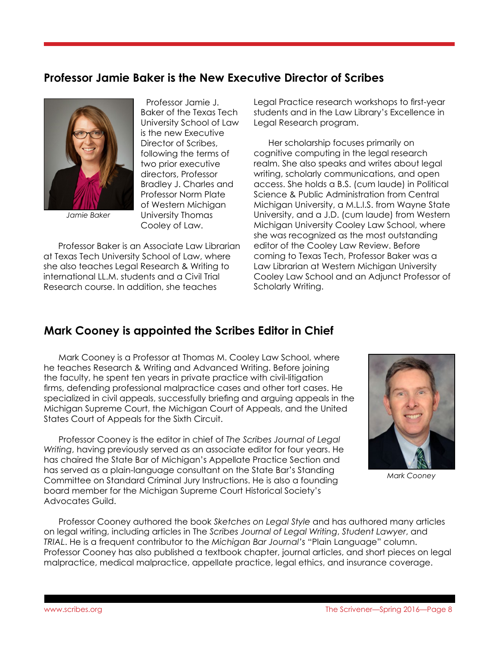## **Professor Jamie Baker is the New Executive Director of Scribes**



*Jamie Baker*

Professor Jamie J. Baker of the Texas Tech University School of Law is the new Executive Director of Scribes, following the terms of two prior executive directors, Professor Bradley J. Charles and Professor Norm Plate of Western Michigan University Thomas Cooley of Law.

Professor Baker is an Associate Law Librarian at Texas Tech University School of Law, where she also teaches Legal Research & Writing to international LL.M. students and a Civil Trial Research course. In addition, she teaches

Legal Practice research workshops to first-year students and in the Law Library's Excellence in Legal Research program.

Her scholarship focuses primarily on cognitive computing in the legal research realm. She also speaks and writes about legal writing, scholarly communications, and open access. She holds a B.S. (cum laude) in Political Science & Public Administration from Central Michigan University, a M.L.I.S. from Wayne State University, and a J.D. (cum laude) from Western Michigan University Cooley Law School, where she was recognized as the most outstanding editor of the Cooley Law Review. Before coming to Texas Tech, Professor Baker was a Law Librarian at Western Michigan University Cooley Law School and an Adjunct Professor of Scholarly Writing.

### **Mark Cooney is appointed the Scribes Editor in Chief**

Mark Cooney is a Professor at Thomas M. Cooley Law School, where he teaches Research & Writing and Advanced Writing. Before joining the faculty, he spent ten years in private practice with civil-litigation firms, defending professional malpractice cases and other tort cases. He specialized in civil appeals, successfully briefing and arguing appeals in the Michigan Supreme Court, the Michigan Court of Appeals, and the United States Court of Appeals for the Sixth Circuit.

Professor Cooney is the editor in chief of *The Scribes Journal of Legal Writing*, having previously served as an associate editor for four years. He has chaired the State Bar of Michigan's Appellate Practice Section and has served as a plain-language consultant on the State Bar's Standing Committee on Standard Criminal Jury Instructions. He is also a founding board member for the Michigan Supreme Court Historical Society's Advocates Guild.



*Mark Cooney*

Professor Cooney authored the book *Sketches on Legal Style* and has authored many articles on legal writing, including articles in The *Scribes Journal of Legal Writing*, *Student Lawyer*, and *TRIAL*. He is a frequent contributor to the *Michigan Bar Journal's* "Plain Language" column. Professor Cooney has also published a textbook chapter, journal articles, and short pieces on legal malpractice, medical malpractice, appellate practice, legal ethics, and insurance coverage.